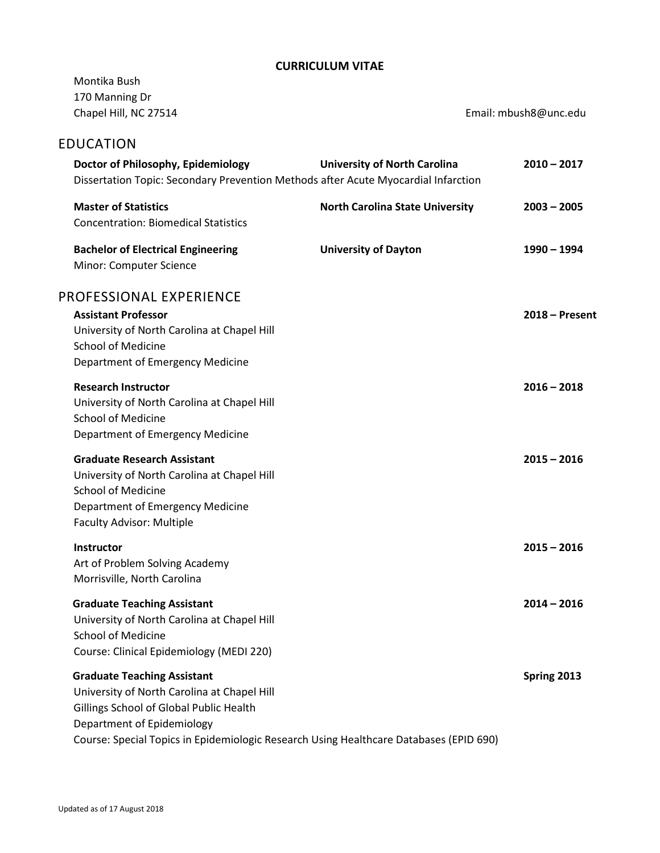## **CURRICULUM VITAE**

| Montika Bush<br>170 Manning Dr<br>Chapel Hill, NC 27514                                                                                                                                                                                              |                                        | Email: mbush8@unc.edu |
|------------------------------------------------------------------------------------------------------------------------------------------------------------------------------------------------------------------------------------------------------|----------------------------------------|-----------------------|
| <b>EDUCATION</b>                                                                                                                                                                                                                                     |                                        |                       |
| Doctor of Philosophy, Epidemiology<br>Dissertation Topic: Secondary Prevention Methods after Acute Myocardial Infarction                                                                                                                             | <b>University of North Carolina</b>    | $2010 - 2017$         |
| <b>Master of Statistics</b><br><b>Concentration: Biomedical Statistics</b>                                                                                                                                                                           | <b>North Carolina State University</b> | $2003 - 2005$         |
| <b>Bachelor of Electrical Engineering</b><br>Minor: Computer Science                                                                                                                                                                                 | <b>University of Dayton</b>            | 1990 - 1994           |
| PROFESSIONAL EXPERIENCE<br><b>Assistant Professor</b><br>University of North Carolina at Chapel Hill<br><b>School of Medicine</b><br>Department of Emergency Medicine                                                                                |                                        | $2018 -$ Present      |
| <b>Research Instructor</b><br>University of North Carolina at Chapel Hill<br><b>School of Medicine</b><br>Department of Emergency Medicine                                                                                                           |                                        | $2016 - 2018$         |
| <b>Graduate Research Assistant</b><br>University of North Carolina at Chapel Hill<br><b>School of Medicine</b><br>Department of Emergency Medicine<br><b>Faculty Advisor: Multiple</b>                                                               |                                        | $2015 - 2016$         |
| <b>Instructor</b><br>Art of Problem Solving Academy<br>Morrisville, North Carolina                                                                                                                                                                   |                                        | $2015 - 2016$         |
| <b>Graduate Teaching Assistant</b><br>University of North Carolina at Chapel Hill<br><b>School of Medicine</b><br>Course: Clinical Epidemiology (MEDI 220)                                                                                           |                                        | $2014 - 2016$         |
| <b>Graduate Teaching Assistant</b><br>University of North Carolina at Chapel Hill<br>Gillings School of Global Public Health<br>Department of Epidemiology<br>Course: Special Topics in Epidemiologic Research Using Healthcare Databases (EPID 690) |                                        | Spring 2013           |
|                                                                                                                                                                                                                                                      |                                        |                       |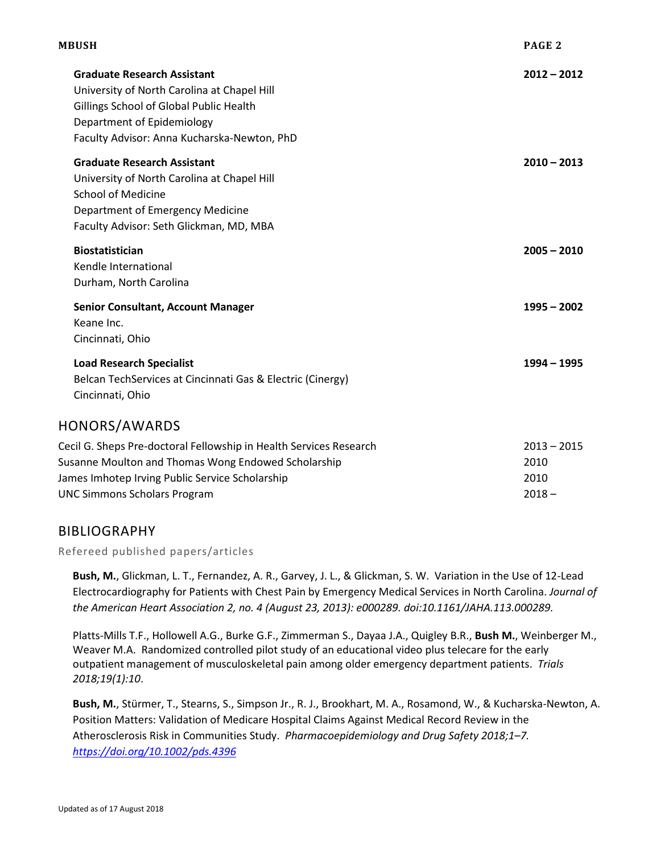| MBUSH |                                                                                                                                                                                                                     |                                           |
|-------|---------------------------------------------------------------------------------------------------------------------------------------------------------------------------------------------------------------------|-------------------------------------------|
|       | <b>Graduate Research Assistant</b><br>University of North Carolina at Chapel Hill<br>Gillings School of Global Public Health<br>Department of Epidemiology<br>Faculty Advisor: Anna Kucharska-Newton, PhD           | $2012 - 2012$                             |
|       | <b>Graduate Research Assistant</b><br>University of North Carolina at Chapel Hill<br><b>School of Medicine</b><br>Department of Emergency Medicine<br>Faculty Advisor: Seth Glickman, MD, MBA                       | $2010 - 2013$                             |
|       | <b>Biostatistician</b><br>Kendle International<br>Durham, North Carolina                                                                                                                                            | $2005 - 2010$                             |
|       | <b>Senior Consultant, Account Manager</b><br>Keane Inc.<br>Cincinnati, Ohio                                                                                                                                         | $1995 - 2002$                             |
|       | <b>Load Research Specialist</b><br>Belcan TechServices at Cincinnati Gas & Electric (Cinergy)<br>Cincinnati, Ohio                                                                                                   | $1994 - 1995$                             |
|       | HONORS/AWARDS                                                                                                                                                                                                       |                                           |
|       | Cecil G. Sheps Pre-doctoral Fellowship in Health Services Research<br>Susanne Moulton and Thomas Wong Endowed Scholarship<br>James Imhotep Irving Public Service Scholarship<br><b>UNC Simmons Scholars Program</b> | $2013 - 2015$<br>2010<br>2010<br>$2018 -$ |
|       |                                                                                                                                                                                                                     |                                           |

# BIBLIOGRAPHY

Refereed published papers/articles

**Bush, M.**, Glickman, L. T., Fernandez, A. R., Garvey, J. L., & Glickman, S. W. Variation in the Use of 12-Lead Electrocardiography for Patients with Chest Pain by Emergency Medical Services in North Carolina. *Journal of the American Heart Association 2, no. 4 (August 23, 2013): e000289. doi:10.1161/JAHA.113.000289.*

Platts-Mills T.F., Hollowell A.G., Burke G.F., Zimmerman S., Dayaa J.A., Quigley B.R., **Bush M.**, Weinberger M., Weaver M.A. Randomized controlled pilot study of an educational video plus telecare for the early outpatient management of musculoskeletal pain among older emergency department patients. *Trials 2018;19(1):10*.

**Bush, M.**, Stürmer, T., Stearns, S., Simpson Jr., R. J., Brookhart, M. A., Rosamond, W., & Kucharska-Newton, A. Position Matters: Validation of Medicare Hospital Claims Against Medical Record Review in the Atherosclerosis Risk in Communities Study. *Pharmacoepidemiology and Drug Safety 2018;1–7. <https://doi.org/10.1002/pds.4396>*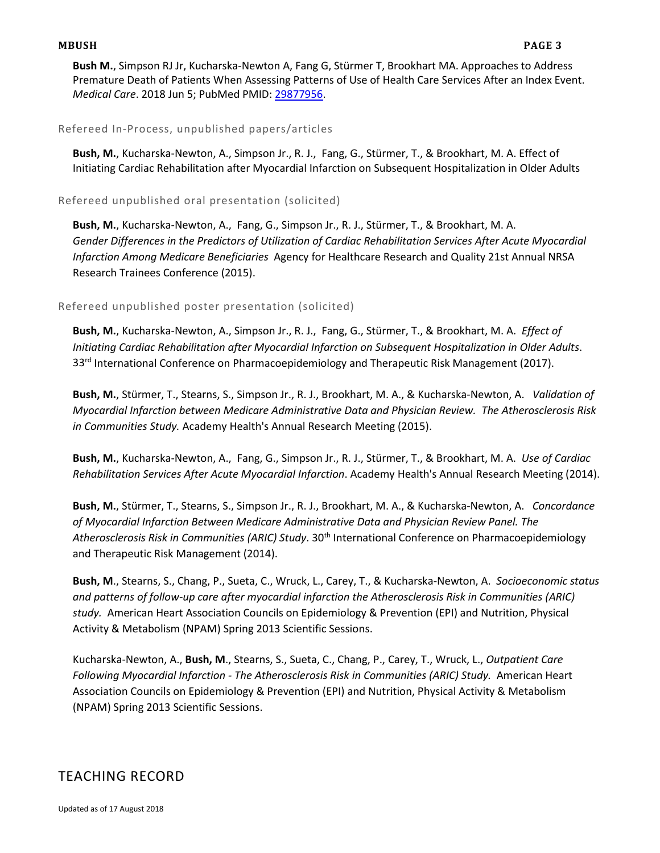#### **MBUSH PAGE 3**

**Bush M.**, Simpson RJ Jr, Kucharska-Newton A, Fang G, Stürmer T, Brookhart MA. Approaches to Address Premature Death of Patients When Assessing Patterns of Use of Health Care Services After an Index Event. *Medical Care*. 2018 Jun 5; PubMed PMID: [29877956.](http://www.ncbi.nlm.nih.gov/pubmed/29877956/)

#### Refereed In-Process, unpublished papers/articles

**Bush, M.**, Kucharska-Newton, A., Simpson Jr., R. J., Fang, G., Stürmer, T., & Brookhart, M. A. Effect of Initiating Cardiac Rehabilitation after Myocardial Infarction on Subsequent Hospitalization in Older Adults

### Refereed unpublished oral presentation (solicited)

**Bush, M.**, Kucharska-Newton, A., Fang, G., Simpson Jr., R. J., Stürmer, T., & Brookhart, M. A. *Gender Differences in the Predictors of Utilization of Cardiac Rehabilitation Services After Acute Myocardial Infarction Among Medicare Beneficiaries* Agency for Healthcare Research and Quality 21st Annual NRSA Research Trainees Conference (2015).

## Refereed unpublished poster presentation (solicited)

**Bush, M.**, Kucharska-Newton, A., Simpson Jr., R. J., Fang, G., Stürmer, T., & Brookhart, M. A. *Effect of Initiating Cardiac Rehabilitation after Myocardial Infarction on Subsequent Hospitalization in Older Adults*. 33<sup>rd</sup> International Conference on Pharmacoepidemiology and Therapeutic Risk Management (2017).

**Bush, M.**, Stürmer, T., Stearns, S., Simpson Jr., R. J., Brookhart, M. A., & Kucharska-Newton, A. *Validation of Myocardial Infarction between Medicare Administrative Data and Physician Review. The Atherosclerosis Risk in Communities Study.* Academy Health's Annual Research Meeting (2015).

**Bush, M.**, Kucharska-Newton, A., Fang, G., Simpson Jr., R. J., Stürmer, T., & Brookhart, M. A. *Use of Cardiac Rehabilitation Services After Acute Myocardial Infarction*. Academy Health's Annual Research Meeting (2014).

**Bush, M.**, Stürmer, T., Stearns, S., Simpson Jr., R. J., Brookhart, M. A., & Kucharska-Newton, A. *Concordance of Myocardial Infarction Between Medicare Administrative Data and Physician Review Panel. The Atherosclerosis Risk in Communities (ARIC) Study*. 30th International Conference on Pharmacoepidemiology and Therapeutic Risk Management (2014).

**Bush, M**., Stearns, S., Chang, P., Sueta, C., Wruck, L., Carey, T., & Kucharska-Newton, A. *Socioeconomic status and patterns of follow-up care after myocardial infarction the Atherosclerosis Risk in Communities (ARIC) study.* American Heart Association Councils on Epidemiology & Prevention (EPI) and Nutrition, Physical Activity & Metabolism (NPAM) Spring 2013 Scientific Sessions.

Kucharska-Newton, A., **Bush, M**., Stearns, S., Sueta, C., Chang, P., Carey, T., Wruck, L., *Outpatient Care Following Myocardial Infarction - The Atherosclerosis Risk in Communities (ARIC) Study.* American Heart Association Councils on Epidemiology & Prevention (EPI) and Nutrition, Physical Activity & Metabolism (NPAM) Spring 2013 Scientific Sessions.

# TEACHING RECORD